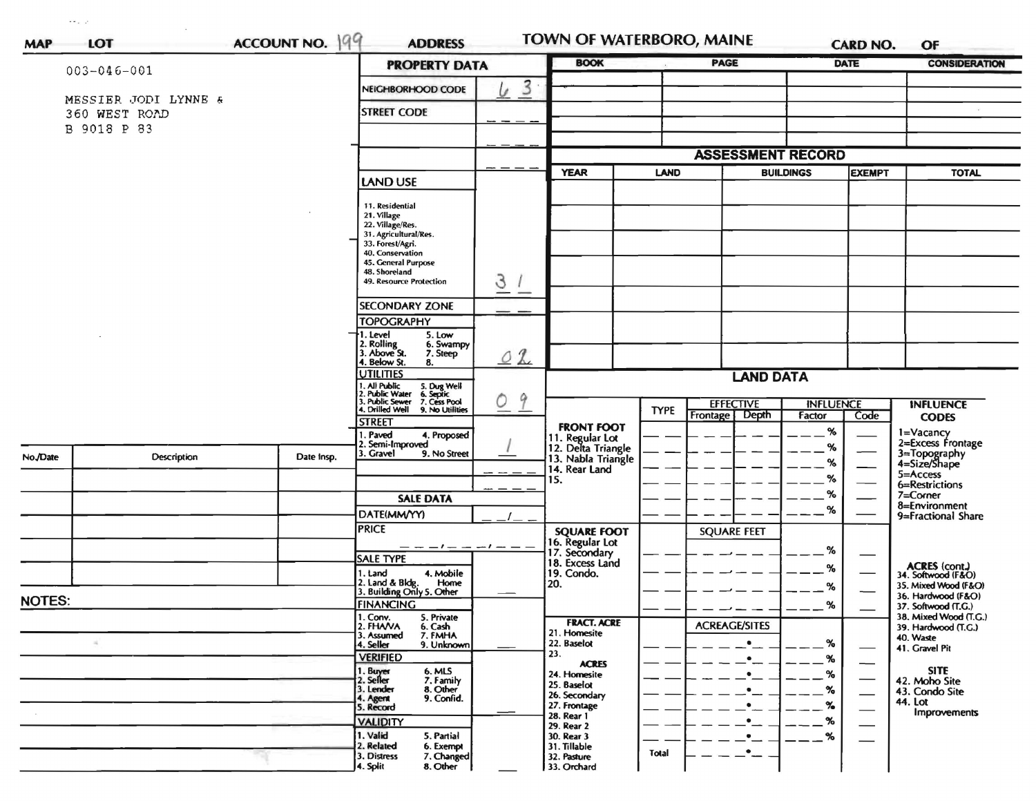|               |                      | ACCOUNT NO. 199 | <b>PROPERTY DATA</b>                                                                                                          | TOWN OF WATERBORO, MAINE<br><b>BOOK</b> |                                       | PAGE                                 | <b>CARD NO.</b><br><b>DATE</b>  |                    | <b>CONSIDERATION</b>          |                                              |
|---------------|----------------------|-----------------|-------------------------------------------------------------------------------------------------------------------------------|-----------------------------------------|---------------------------------------|--------------------------------------|---------------------------------|--------------------|-------------------------------|----------------------------------------------|
|               | $003 - 046 - 001$    |                 |                                                                                                                               |                                         |                                       |                                      |                                 |                    |                               |                                              |
|               | MESSIER JODI LYNNE & |                 | NEIGHBORHOOD CODE                                                                                                             | 3<br>$\mathcal{L}$                      |                                       |                                      |                                 |                    |                               |                                              |
|               | 360 WEST ROAD        |                 | <b>STREET CODE</b>                                                                                                            |                                         |                                       |                                      |                                 |                    |                               |                                              |
|               | B 9018 P 83          |                 |                                                                                                                               |                                         |                                       |                                      |                                 |                    |                               |                                              |
|               |                      |                 |                                                                                                                               |                                         |                                       | <b>ASSESSMENT RECORD</b>             |                                 |                    |                               |                                              |
|               |                      |                 |                                                                                                                               |                                         | <b>YEAR</b>                           |                                      | <b>LAND</b><br><b>BUILDINGS</b> |                    | <b>EXEMPT</b>                 | <b>TOTAL</b>                                 |
|               |                      |                 | <b>LAND USE</b>                                                                                                               |                                         |                                       |                                      |                                 |                    |                               |                                              |
|               |                      |                 | 11. Residential                                                                                                               |                                         |                                       |                                      |                                 |                    |                               |                                              |
|               |                      |                 | 21. Village<br>22. Village/Res.                                                                                               |                                         |                                       |                                      |                                 |                    |                               |                                              |
|               |                      |                 | 31. Agricultural/Res.<br>33. Forest/Agri.                                                                                     |                                         |                                       |                                      |                                 |                    |                               |                                              |
|               |                      |                 | 40. Conservation<br>45. General Purpose                                                                                       |                                         |                                       |                                      |                                 |                    |                               |                                              |
|               |                      |                 | 48. Shoreland<br>49. Resource Protection                                                                                      |                                         |                                       |                                      |                                 |                    |                               |                                              |
|               |                      |                 |                                                                                                                               | 3<br>--                                 |                                       |                                      |                                 |                    |                               |                                              |
|               |                      |                 | <b>SECONDARY ZONE</b>                                                                                                         |                                         |                                       |                                      |                                 |                    |                               |                                              |
|               |                      |                 | <b>TOPOGRAPHY</b>                                                                                                             |                                         |                                       |                                      |                                 |                    |                               |                                              |
|               |                      |                 | I. Level<br>5. Low<br>2. Rolling<br>3. Above St.<br>6. Swampy                                                                 |                                         |                                       |                                      |                                 |                    |                               |                                              |
|               |                      |                 | 7. Steep<br>4. Below St.<br>8.                                                                                                | $\mathcal{L}$<br>O                      |                                       |                                      |                                 |                    |                               |                                              |
|               |                      |                 | <b>UTILITIES</b>                                                                                                              |                                         |                                       | <b>LAND DATA</b>                     |                                 |                    |                               |                                              |
|               |                      |                 | 1. All Public<br>1. All Public<br>1. Public Water 6. Septic<br>3. Public Sewer 7. Cess Pool<br>1. Drilled Well 9. No Utilitie | 9<br>0                                  |                                       | <b>EFFECTIVE</b><br><b>INFLUENCE</b> |                                 |                    |                               | <b>INFLUENCE</b>                             |
|               |                      |                 | 9. No Utilities                                                                                                               |                                         |                                       | <b>TYPE</b>                          | Depth<br>Frontage               | Factor             | Code                          | <b>CODES</b>                                 |
|               |                      |                 | <b>STREET</b><br>. Paved<br>4. Proposed                                                                                       |                                         | <b>FRONT FOOT</b>                     |                                      |                                 | %                  |                               | 1=Vacancy                                    |
| No./Date      |                      |                 | 2. Semi-Improved<br>9. No Street<br>3. Gravel                                                                                 |                                         | 11. Regular Lot<br>12. Delta Triangle |                                      |                                 | %                  |                               | 2=Excess Frontage                            |
|               | Description          | Date Insp.      |                                                                                                                               |                                         | 13. Nabla Triangle<br>14. Rear Land   |                                      |                                 | ℅                  |                               | 3=Topography<br>4=Size/Shape<br>5=Access     |
|               |                      |                 |                                                                                                                               |                                         | 15.                                   |                                      |                                 | %                  |                               | 6=Restrictions                               |
|               |                      |                 | <b>SALE DATA</b>                                                                                                              |                                         |                                       |                                      |                                 | %                  |                               | 7=Corner<br>8=Environment                    |
|               |                      |                 | DATE(MM/YY)                                                                                                                   |                                         |                                       |                                      |                                 | $\%$               |                               | 9=Fractional Share                           |
|               |                      |                 | <b>PRICE</b>                                                                                                                  |                                         | <b>SQUARE FOOT</b><br>16. Regular Lot |                                      | <b>SQUARE FEET</b>              |                    |                               |                                              |
|               |                      |                 | <b>SALE TYPE</b>                                                                                                              |                                         | 17. Secondary                         |                                      |                                 | %                  |                               |                                              |
|               |                      |                 | 4. Mobile<br>1. Land                                                                                                          |                                         | 18. Excess Land<br>19. Condo.         |                                      |                                 | %                  |                               | ACRES (cont.)<br>34. Softwood (F&O)          |
|               |                      |                 | 2. Land & Bldg. Home<br>3. Building Only 5. Other<br>Home                                                                     |                                         | 20.                                   |                                      |                                 | %                  |                               | 35. Mixed Wood (F&O)<br>36. Hardwood (F&O)   |
| <b>NOTES:</b> |                      |                 | <b>FINANCING</b>                                                                                                              |                                         |                                       |                                      |                                 | %                  |                               | 37. Softwood (T.G.)                          |
|               |                      |                 | 1. Conv.<br>5. Private<br>2. FHAVA<br>6. Cash<br>7. FMHA                                                                      |                                         | <b>FRACT. ACRE</b>                    |                                      | <b>ACREAGE/SITES</b>            |                    |                               | 38. Mixed Wood (T.G.)<br>39. Hardwood (T.G.) |
|               |                      |                 | 3. Assumed<br>4. Seller<br>9. Unknown                                                                                         |                                         | 21. Homesite<br>22. Baselot           |                                      |                                 | %                  |                               | 40. Waste<br>41. Gravel Pit                  |
|               |                      |                 | <b>VERIFIED</b>                                                                                                               |                                         | 23.<br><b>ACRES</b>                   |                                      |                                 | %                  | $\hspace{0.05cm}$             |                                              |
|               |                      |                 | 1. Buyer<br>6. MLS<br>7. Family<br>2. Seller                                                                                  |                                         | 24. Homesite<br>25. Baselot           |                                      |                                 | $\%$               | $\overline{\phantom{0}}$      | <b>SITE</b><br>42. Moho Site                 |
|               |                      |                 | 3. Lender<br>8. Other<br>9. Confid.                                                                                           |                                         | 26. Secondary                         |                                      |                                 | %                  |                               | 43. Condo Site<br>44. Lot                    |
|               |                      |                 | 4. Agent<br>5. Record                                                                                                         |                                         | 27. Frontage<br>28. Rear 1            |                                      |                                 | $\gamma_{\bullet}$ | $\overbrace{\phantom{aaaaa}}$ | Improvements                                 |
|               |                      |                 | <b>VALIDITY</b><br>1. Valid<br>5. Partial                                                                                     |                                         | 29. Rear 2                            |                                      |                                 | %                  |                               |                                              |
|               |                      |                 | 2. Related<br>6. Exempt                                                                                                       |                                         | 30. Rear 3<br>31. Tillable            |                                      | $\bullet$                       |                    |                               |                                              |
|               |                      |                 | 3. Distress<br>7. Changed<br>4. Split<br>8. Other                                                                             |                                         | 32. Pasture<br>33. Orchard            | Total                                |                                 |                    |                               |                                              |